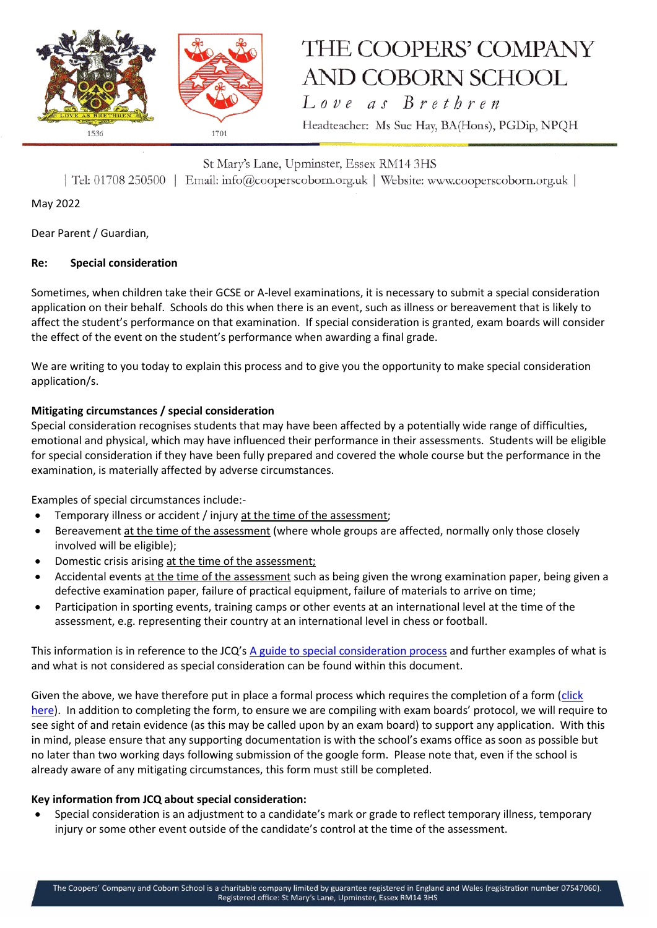

Love as Brethren

Headteacher: Ms Sue Hay, BA(Hons), PGDip, NPQH

St Mary's Lane, Upminster, Essex RM14 3HS | Tel: 01708 250500 | Email: info@cooperscoborn.org.uk | Website: www.cooperscoborn.org.uk |

May 2022

Dear Parent / Guardian,

### **Re: Special consideration**

Sometimes, when children take their GCSE or A-level examinations, it is necessary to submit a special consideration application on their behalf. Schools do this when there is an event, such as illness or bereavement that is likely to affect the student's performance on that examination. If special consideration is granted, exam boards will consider the effect of the event on the student's performance when awarding a final grade.

We are writing to you today to explain this process and to give you the opportunity to make special consideration application/s.

### **Mitigating circumstances / special consideration**

Special consideration recognises students that may have been affected by a potentially wide range of difficulties, emotional and physical, which may have influenced their performance in their assessments. Students will be eligible for special consideration if they have been fully prepared and covered the whole course but the performance in the examination, is materially affected by adverse circumstances.

Examples of special circumstances include:-

- Temporary illness or accident / injury at the time of the assessment;
- Bereavement at the time of the assessment (where whole groups are affected, normally only those closely involved will be eligible);
- Domestic crisis arising at the time of the assessment;
- Accidental events at the time of the assessment such as being given the wrong examination paper, being given a defective examination paper, failure of practical equipment, failure of materials to arrive on time;
- Participation in sporting events, training camps or other events at an international level at the time of the assessment, e.g. representing their country at an international level in chess or football.

This information is in reference to the JCQ's [A guide to special consideration process](https://www.jcq.org.uk/wp-content/uploads/2022/04/A-guide-to-the-special-consideration-process-202122-%E2%80%93-General-and-Vocational-qualifications-Updated-8-April-2022_FINAL.pdf) and further examples of what is and what is not considered as special consideration can be found within this document.

Given the above, we have therefore put in place a formal process which requires the completion of a form (click [here\)](https://forms.gle/vZ3N4FVhKVV6ySao7). In addition to completing the form, to ensure we are compiling with exam boards' protocol, we will require to see sight of and retain evidence (as this may be called upon by an exam board) to support any application. With this in mind, please ensure that any supporting documentation is with the school's exams office as soon as possible but no later than two working days following submission of the google form. Please note that, even if the school is already aware of any mitigating circumstances, this form must still be completed.

#### **Key information from JCQ about special consideration:**

• Special consideration is an adjustment to a candidate's mark or grade to reflect temporary illness, temporary injury or some other event outside of the candidate's control at the time of the assessment.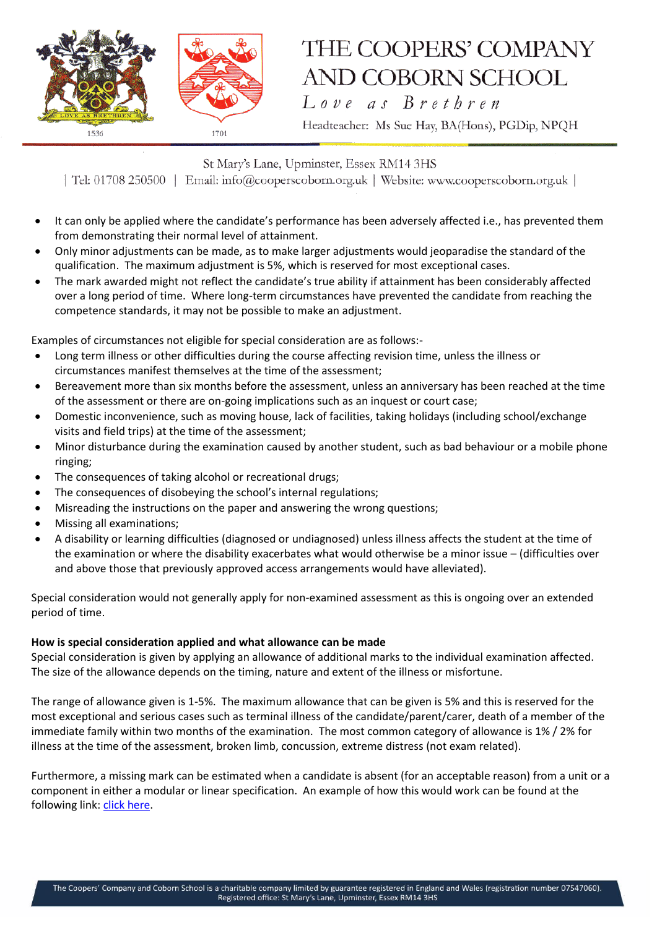

Love as Brethren

Headteacher: Ms Sue Hay, BA(Hons), PGDip, NPQH

St Mary's Lane, Upminster, Essex RM14 3HS

| Tel: 01708 250500 | Email: info@cooperscoborn.org.uk | Website: www.cooperscoborn.org.uk |

- It can only be applied where the candidate's performance has been adversely affected i.e., has prevented them from demonstrating their normal level of attainment.
- Only minor adjustments can be made, as to make larger adjustments would jeoparadise the standard of the qualification. The maximum adjustment is 5%, which is reserved for most exceptional cases.
- The mark awarded might not reflect the candidate's true ability if attainment has been considerably affected over a long period of time. Where long-term circumstances have prevented the candidate from reaching the competence standards, it may not be possible to make an adjustment.

Examples of circumstances not eligible for special consideration are as follows:-

- Long term illness or other difficulties during the course affecting revision time, unless the illness or circumstances manifest themselves at the time of the assessment;
- Bereavement more than six months before the assessment, unless an anniversary has been reached at the time of the assessment or there are on-going implications such as an inquest or court case;
- Domestic inconvenience, such as moving house, lack of facilities, taking holidays (including school/exchange visits and field trips) at the time of the assessment;
- Minor disturbance during the examination caused by another student, such as bad behaviour or a mobile phone ringing;
- The consequences of taking alcohol or recreational drugs;
- The consequences of disobeying the school's internal regulations;
- Misreading the instructions on the paper and answering the wrong questions;
- Missing all examinations;
- A disability or learning difficulties (diagnosed or undiagnosed) unless illness affects the student at the time of the examination or where the disability exacerbates what would otherwise be a minor issue – (difficulties over and above those that previously approved access arrangements would have alleviated).

Special consideration would not generally apply for non-examined assessment as this is ongoing over an extended period of time.

#### **How is special consideration applied and what allowance can be made**

Special consideration is given by applying an allowance of additional marks to the individual examination affected. The size of the allowance depends on the timing, nature and extent of the illness or misfortune.

The range of allowance given is 1-5%. The maximum allowance that can be given is 5% and this is reserved for the most exceptional and serious cases such as terminal illness of the candidate/parent/carer, death of a member of the immediate family within two months of the examination. The most common category of allowance is 1% / 2% for illness at the time of the assessment, broken limb, concussion, extreme distress (not exam related).

Furthermore, a missing mark can be estimated when a candidate is absent (for an acceptable reason) from a unit or a component in either a modular or linear specification. An example of how this would work can be found at the following link[: click here.](https://www.jcq.org.uk/exams-office/access-arrangements-and-special-consideration/other-documents/estimating-the-missing-mark-when-a-candidate-is-absent/)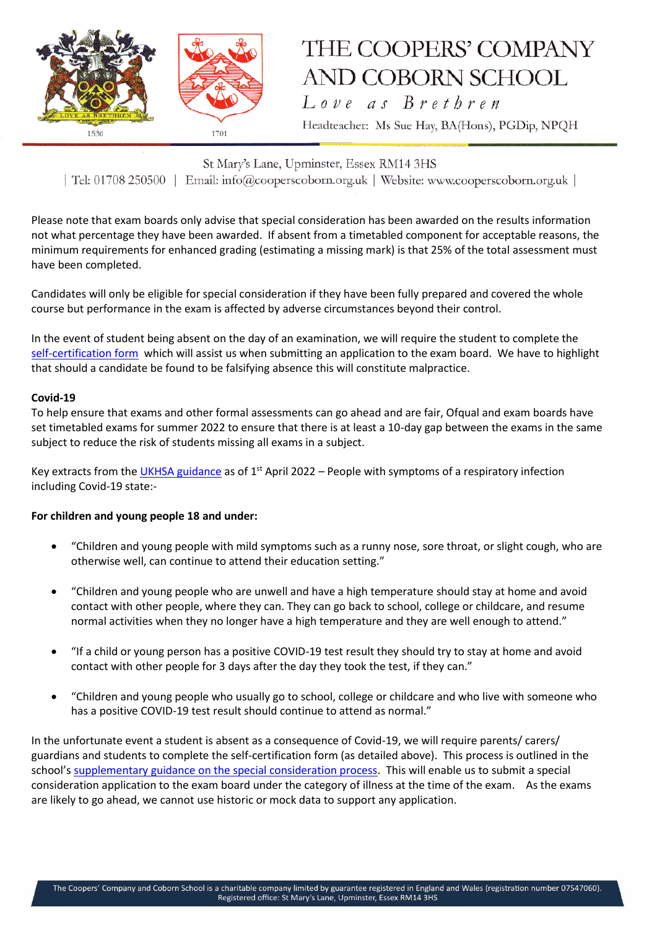

Love as Brethren

Headteacher: Ms Sue Hay, BA(Hons), PGDip, NPQH

St Mary's Lane, Upminster, Essex RM14 3HS | Tel: 01708 250500 | Email: info@cooperscoborn.org.uk | Website: www.cooperscoborn.org.uk |

Please note that exam boards only advise that special consideration has been awarded on the results information not what percentage they have been awarded. If absent from a timetabled component for acceptable reasons, the minimum requirements for enhanced grading (estimating a missing mark) is that 25% of the total assessment must have been completed.

Candidates will only be eligible for special consideration if they have been fully prepared and covered the whole course but performance in the exam is affected by adverse circumstances beyond their control.

In the event of student being absent on the day of an examination, we will require the student to complete the [self-certification form](https://www.jcq.org.uk/wp-content/uploads/2021/09/Form-14_Self-Certification-Form.pdf) which will assist us when submitting an application to the exam board. We have to highlight that should a candidate be found to be falsifying absence this will constitute malpractice.

#### **Covid-19**

To help ensure that exams and other formal assessments can go ahead and are fair, Ofqual and exam boards have set timetabled exams for summer 2022 to ensure that there is at least a 10-day gap between the exams in the same subject to reduce the risk of students missing all exams in a subject.

Key extracts from the [UKHSA guidance](https://www.gov.uk/guidance/people-with-symptoms-of-a-respiratory-infection-including-covid-19) as of 1<sup>st</sup> April 2022 – People with symptoms of a respiratory infection including Covid-19 state:-

#### **For children and young people 18 and under:**

- "Children and young people with mild symptoms such as a runny nose, sore throat, or slight cough, who are otherwise well, can continue to attend their education setting."
- "Children and young people who are unwell and have a high temperature should stay at home and avoid contact with other people, where they can. They can go back to school, college or childcare, and resume normal activities when they no longer have a high temperature and they are well enough to attend."
- "If a child or young person has a positive COVID-19 test result they should try to stay at home and avoid contact with other people for 3 days after the day they took the test, if they can."
- "Children and young people who usually go to school, college or childcare and who live with someone who has a positive COVID-19 test result should continue to attend as normal."

In the unfortunate event a student is absent as a consequence of Covid-19, we will require parents/ carers/ guardians and students to complete the self-certification form (as detailed above). This process is outlined in the school's [supplementary guidance on the special consideration process.](https://www.cooperscoborn.org.uk/wp-content/uploads/2022/05/Supplementary-guidance-to-special-consideration-Summer-2022.pdf) This will enable us to submit a special consideration application to the exam board under the category of illness at the time of the exam. As the exams are likely to go ahead, we cannot use historic or mock data to support any application.